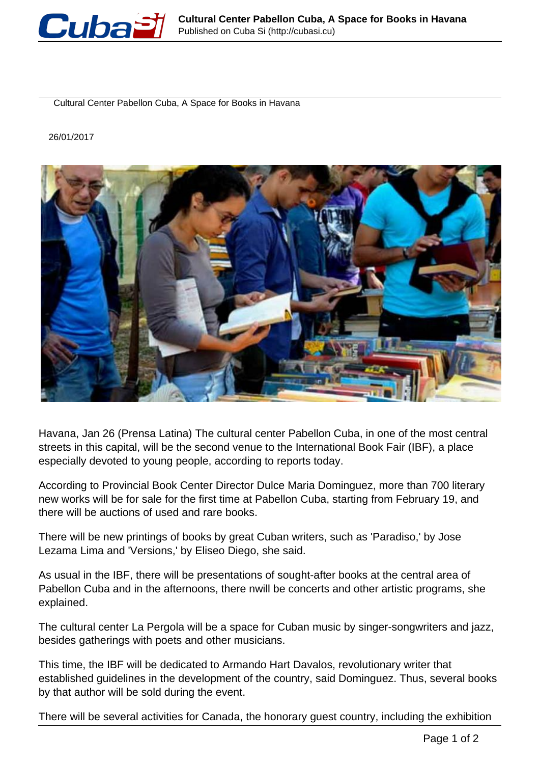

Cultural Center Pabellon Cuba, A Space for Books in Havana

26/01/2017



Havana, Jan 26 (Prensa Latina) The cultural center Pabellon Cuba, in one of the most central streets in this capital, will be the second venue to the International Book Fair (IBF), a place especially devoted to young people, according to reports today.

According to Provincial Book Center Director Dulce Maria Dominguez, more than 700 literary new works will be for sale for the first time at Pabellon Cuba, starting from February 19, and there will be auctions of used and rare books.

There will be new printings of books by great Cuban writers, such as 'Paradiso,' by Jose Lezama Lima and 'Versions,' by Eliseo Diego, she said.

As usual in the IBF, there will be presentations of sought-after books at the central area of Pabellon Cuba and in the afternoons, there nwill be concerts and other artistic programs, she explained.

The cultural center La Pergola will be a space for Cuban music by singer-songwriters and jazz, besides gatherings with poets and other musicians.

This time, the IBF will be dedicated to Armando Hart Davalos, revolutionary writer that established guidelines in the development of the country, said Dominguez. Thus, several books by that author will be sold during the event.

There will be several activities for Canada, the honorary guest country, including the exhibition